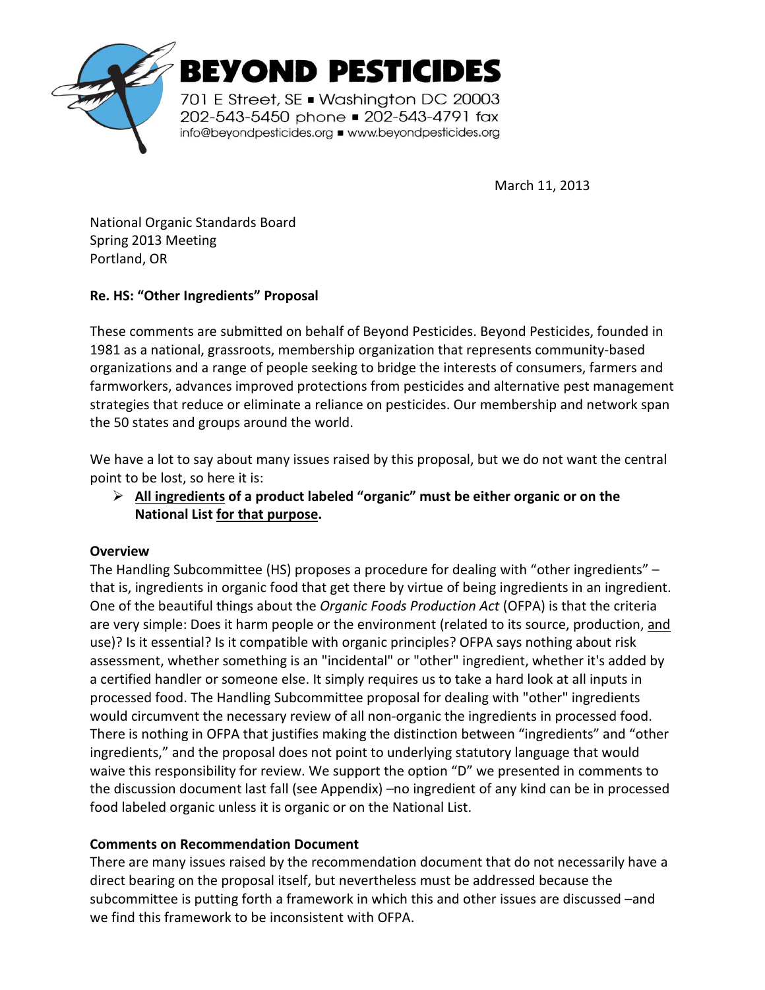

**BEYOND PESTICIDES** 

701 E Street, SE . Washington DC 20003 202-543-5450 phone 202-543-4791 fax info@beyondpesticides.org = www.beyondpesticides.org

March 11, 2013

National Organic Standards Board Spring 2013 Meeting Portland, OR

# **Re. HS: "Other Ingredients" Proposal**

These comments are submitted on behalf of Beyond Pesticides. Beyond Pesticides, founded in 1981 as a national, grassroots, membership organization that represents community-based organizations and a range of people seeking to bridge the interests of consumers, farmers and farmworkers, advances improved protections from pesticides and alternative pest management strategies that reduce or eliminate a reliance on pesticides. Our membership and network span the 50 states and groups around the world.

We have a lot to say about many issues raised by this proposal, but we do not want the central point to be lost, so here it is:

 **All ingredients of a product labeled "organic" must be either organic or on the National List for that purpose.** 

## **Overview**

The Handling Subcommittee (HS) proposes a procedure for dealing with "other ingredients" – that is, ingredients in organic food that get there by virtue of being ingredients in an ingredient. One of the beautiful things about the *Organic Foods Production Act* (OFPA) is that the criteria are very simple: Does it harm people or the environment (related to its source, production, and use)? Is it essential? Is it compatible with organic principles? OFPA says nothing about risk assessment, whether something is an "incidental" or "other" ingredient, whether it's added by a certified handler or someone else. It simply requires us to take a hard look at all inputs in processed food. The Handling Subcommittee proposal for dealing with "other" ingredients would circumvent the necessary review of all non-organic the ingredients in processed food. There is nothing in OFPA that justifies making the distinction between "ingredients" and "other ingredients," and the proposal does not point to underlying statutory language that would waive this responsibility for review. We support the option "D" we presented in comments to the discussion document last fall (see Appendix) –no ingredient of any kind can be in processed food labeled organic unless it is organic or on the National List.

## **Comments on Recommendation Document**

There are many issues raised by the recommendation document that do not necessarily have a direct bearing on the proposal itself, but nevertheless must be addressed because the subcommittee is putting forth a framework in which this and other issues are discussed –and we find this framework to be inconsistent with OFPA.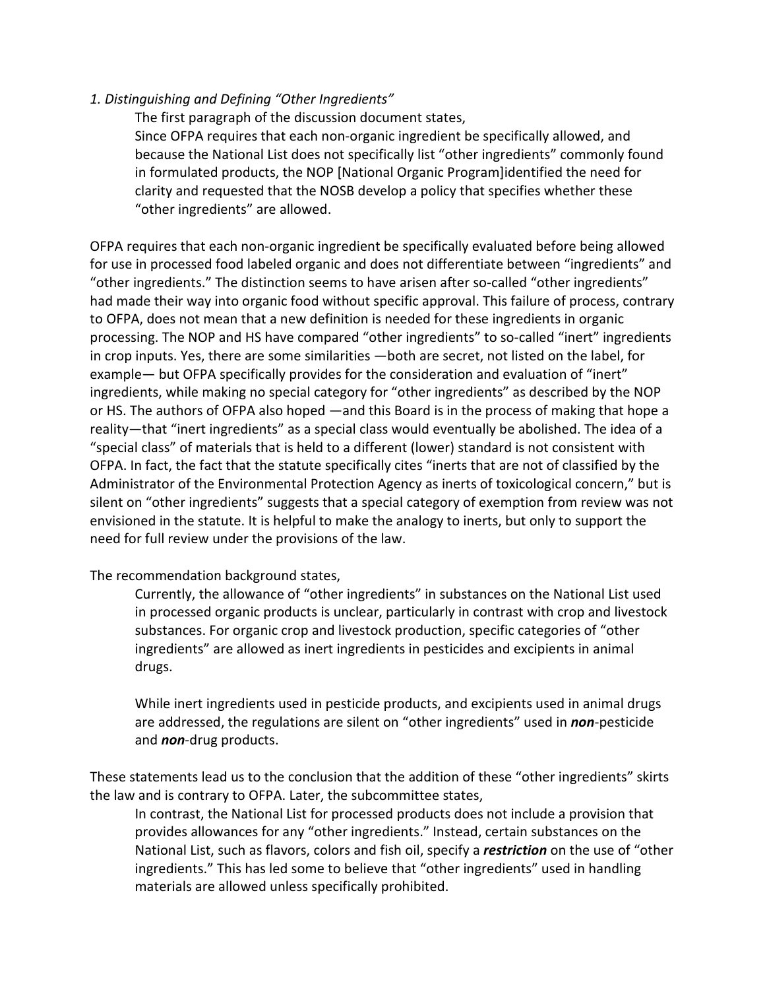#### *1. Distinguishing and Defining "Other Ingredients"*

The first paragraph of the discussion document states,

Since OFPA requires that each non-organic ingredient be specifically allowed, and because the National List does not specifically list "other ingredients" commonly found in formulated products, the NOP [National Organic Program]identified the need for clarity and requested that the NOSB develop a policy that specifies whether these "other ingredients" are allowed.

OFPA requires that each non-organic ingredient be specifically evaluated before being allowed for use in processed food labeled organic and does not differentiate between "ingredients" and "other ingredients." The distinction seems to have arisen after so-called "other ingredients" had made their way into organic food without specific approval. This failure of process, contrary to OFPA, does not mean that a new definition is needed for these ingredients in organic processing. The NOP and HS have compared "other ingredients" to so-called "inert" ingredients in crop inputs. Yes, there are some similarities —both are secret, not listed on the label, for example— but OFPA specifically provides for the consideration and evaluation of "inert" ingredients, while making no special category for "other ingredients" as described by the NOP or HS. The authors of OFPA also hoped —and this Board is in the process of making that hope a reality—that "inert ingredients" as a special class would eventually be abolished. The idea of a "special class" of materials that is held to a different (lower) standard is not consistent with OFPA. In fact, the fact that the statute specifically cites "inerts that are not of classified by the Administrator of the Environmental Protection Agency as inerts of toxicological concern," but is silent on "other ingredients" suggests that a special category of exemption from review was not envisioned in the statute. It is helpful to make the analogy to inerts, but only to support the need for full review under the provisions of the law.

#### The recommendation background states,

Currently, the allowance of "other ingredients" in substances on the National List used in processed organic products is unclear, particularly in contrast with crop and livestock substances. For organic crop and livestock production, specific categories of "other ingredients" are allowed as inert ingredients in pesticides and excipients in animal drugs.

While inert ingredients used in pesticide products, and excipients used in animal drugs are addressed, the regulations are silent on "other ingredients" used in *non*-pesticide and *non*-drug products.

These statements lead us to the conclusion that the addition of these "other ingredients" skirts the law and is contrary to OFPA. Later, the subcommittee states,

In contrast, the National List for processed products does not include a provision that provides allowances for any "other ingredients." Instead, certain substances on the National List, such as flavors, colors and fish oil, specify a *restriction* on the use of "other ingredients." This has led some to believe that "other ingredients" used in handling materials are allowed unless specifically prohibited.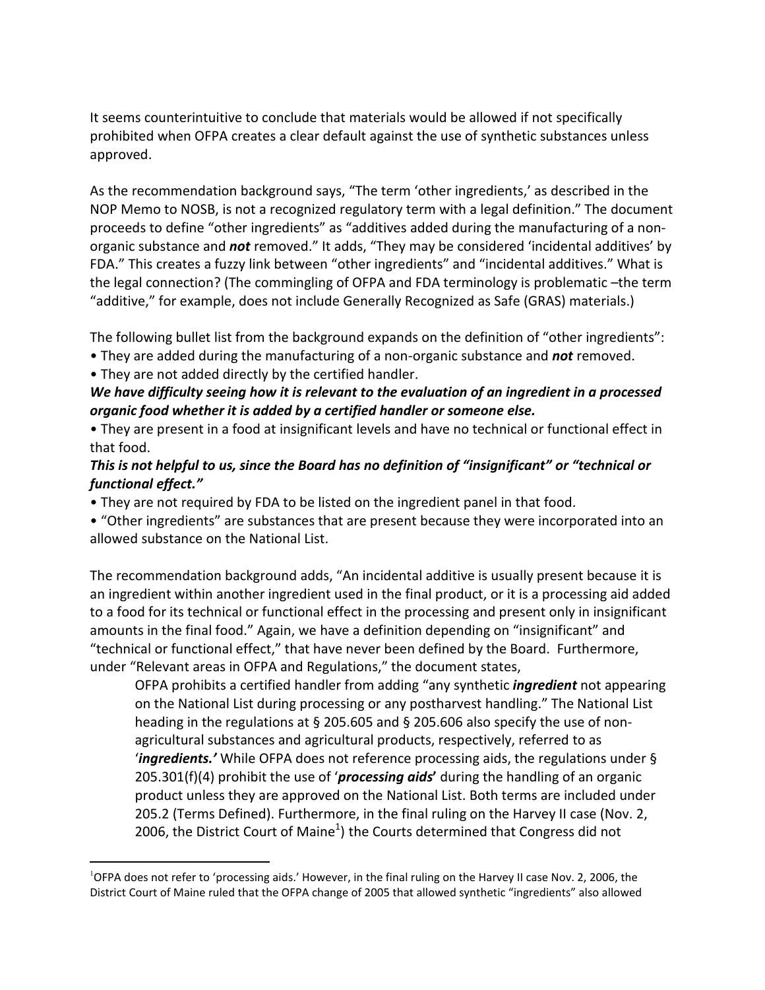It seems counterintuitive to conclude that materials would be allowed if not specifically prohibited when OFPA creates a clear default against the use of synthetic substances unless approved.

As the recommendation background says, "The term 'other ingredients,' as described in the NOP Memo to NOSB, is not a recognized regulatory term with a legal definition." The document proceeds to define "other ingredients" as "additives added during the manufacturing of a nonorganic substance and *not* removed." It adds, "They may be considered 'incidental additives' by FDA." This creates a fuzzy link between "other ingredients" and "incidental additives." What is the legal connection? (The commingling of OFPA and FDA terminology is problematic –the term "additive," for example, does not include Generally Recognized as Safe (GRAS) materials.)

The following bullet list from the background expands on the definition of "other ingredients":

- They are added during the manufacturing of a non-organic substance and *not* removed.
- They are not added directly by the certified handler.

l

# *We have difficulty seeing how it is relevant to the evaluation of an ingredient in a processed organic food whether it is added by a certified handler or someone else.*

• They are present in a food at insignificant levels and have no technical or functional effect in that food.

## *This is not helpful to us, since the Board has no definition of "insignificant" or "technical or functional effect."*

• They are not required by FDA to be listed on the ingredient panel in that food.

• "Other ingredients" are substances that are present because they were incorporated into an allowed substance on the National List.

The recommendation background adds, "An incidental additive is usually present because it is an ingredient within another ingredient used in the final product, or it is a processing aid added to a food for its technical or functional effect in the processing and present only in insignificant amounts in the final food." Again, we have a definition depending on "insignificant" and "technical or functional effect," that have never been defined by the Board. Furthermore, under "Relevant areas in OFPA and Regulations," the document states,

OFPA prohibits a certified handler from adding "any synthetic *ingredient* not appearing on the National List during processing or any postharvest handling." The National List heading in the regulations at § 205.605 and § 205.606 also specify the use of nonagricultural substances and agricultural products, respectively, referred to as '*ingredients.'* While OFPA does not reference processing aids, the regulations under § 205.301(f)(4) prohibit the use of '*processing aids***'** during the handling of an organic product unless they are approved on the National List. Both terms are included under 205.2 (Terms Defined). Furthermore, in the final ruling on the Harvey II case (Nov. 2, 2006, the District Court of Maine<sup>1</sup>) the Courts determined that Congress did not

<sup>1</sup>OFPA does not refer to 'processing aids.' However, in the final ruling on the Harvey II case Nov. 2, 2006, the District Court of Maine ruled that the OFPA change of 2005 that allowed synthetic "ingredients" also allowed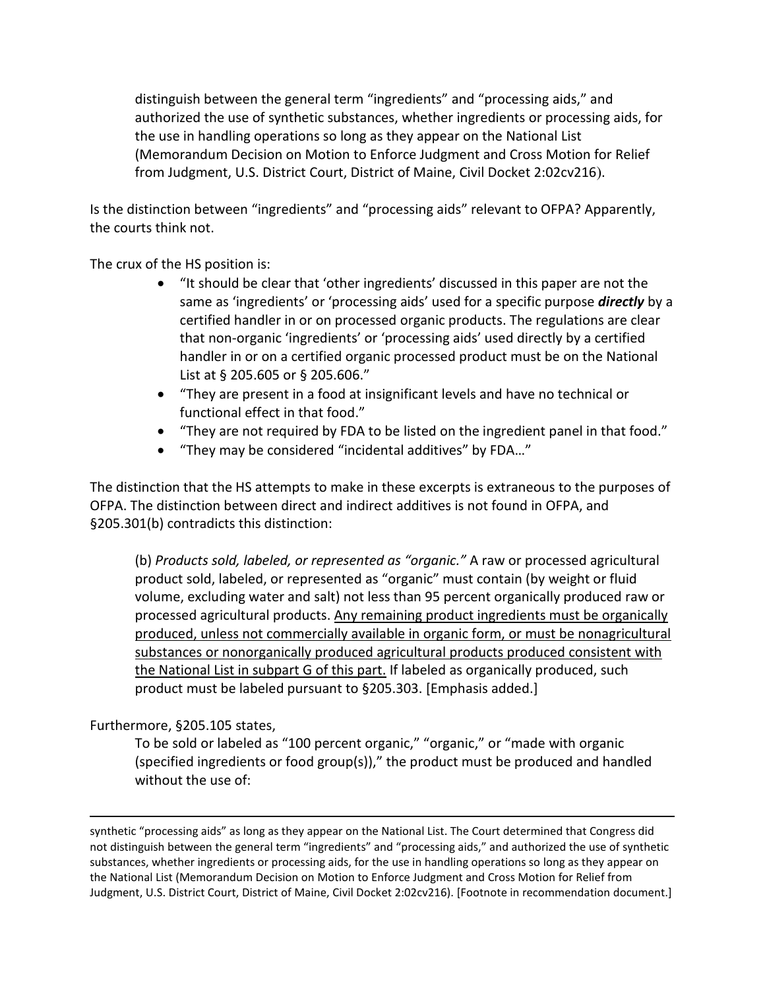distinguish between the general term "ingredients" and "processing aids," and authorized the use of synthetic substances, whether ingredients or processing aids, for the use in handling operations so long as they appear on the National List (Memorandum Decision on Motion to Enforce Judgment and Cross Motion for Relief from Judgment, U.S. District Court, District of Maine, Civil Docket 2:02cv216).

Is the distinction between "ingredients" and "processing aids" relevant to OFPA? Apparently, the courts think not.

The crux of the HS position is:

- "It should be clear that 'other ingredients' discussed in this paper are not the same as 'ingredients' or 'processing aids' used for a specific purpose *directly* by a certified handler in or on processed organic products. The regulations are clear that non-organic 'ingredients' or 'processing aids' used directly by a certified handler in or on a certified organic processed product must be on the National List at § 205.605 or § 205.606."
- "They are present in a food at insignificant levels and have no technical or functional effect in that food."
- "They are not required by FDA to be listed on the ingredient panel in that food."
- "They may be considered "incidental additives" by FDA…"

The distinction that the HS attempts to make in these excerpts is extraneous to the purposes of OFPA. The distinction between direct and indirect additives is not found in OFPA, and §205.301(b) contradicts this distinction:

(b) *Products sold, labeled, or represented as "organic."* A raw or processed agricultural product sold, labeled, or represented as "organic" must contain (by weight or fluid volume, excluding water and salt) not less than 95 percent organically produced raw or processed agricultural products. Any remaining product ingredients must be organically produced, unless not commercially available in organic form, or must be nonagricultural substances or nonorganically produced agricultural products produced consistent with the National List in subpart G of this part. If labeled as organically produced, such product must be labeled pursuant to §205.303. [Emphasis added.]

## Furthermore, §205.105 states,

1

To be sold or labeled as "100 percent organic," "organic," or "made with organic (specified ingredients or food group(s))," the product must be produced and handled without the use of:

synthetic "processing aids" as long as they appear on the National List. The Court determined that Congress did not distinguish between the general term "ingredients" and "processing aids," and authorized the use of synthetic substances, whether ingredients or processing aids, for the use in handling operations so long as they appear on the National List (Memorandum Decision on Motion to Enforce Judgment and Cross Motion for Relief from Judgment, U.S. District Court, District of Maine, Civil Docket 2:02cv216). [Footnote in recommendation document.]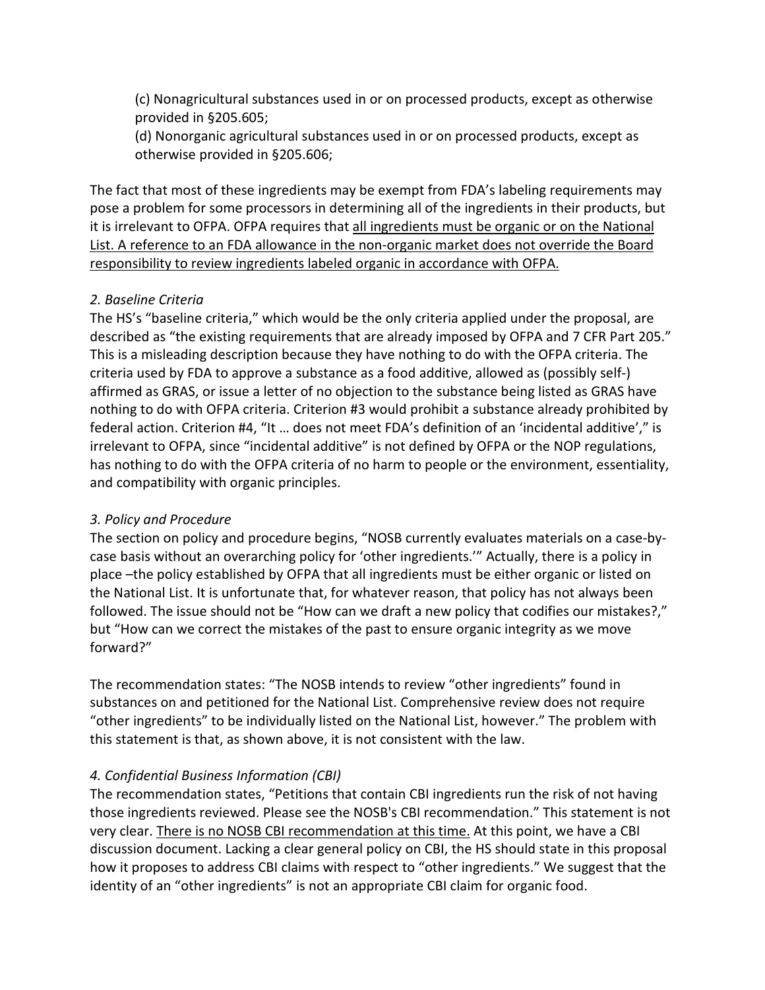(c) Nonagricultural substances used in or on processed products, except as otherwise provided in §205.605;

(d) Nonorganic agricultural substances used in or on processed products, except as otherwise provided in §205.606;

The fact that most of these ingredients may be exempt from FDA's labeling requirements may pose a problem for some processors in determining all of the ingredients in their products, but it is irrelevant to OFPA. OFPA requires that all ingredients must be organic or on the National List. A reference to an FDA allowance in the non-organic market does not override the Board responsibility to review ingredients labeled organic in accordance with OFPA.

## *2. Baseline Criteria*

The HS's "baseline criteria," which would be the only criteria applied under the proposal, are described as "the existing requirements that are already imposed by OFPA and 7 CFR Part 205." This is a misleading description because they have nothing to do with the OFPA criteria. The criteria used by FDA to approve a substance as a food additive, allowed as (possibly self-) affirmed as GRAS, or issue a letter of no objection to the substance being listed as GRAS have nothing to do with OFPA criteria. Criterion #3 would prohibit a substance already prohibited by federal action. Criterion #4, "It … does not meet FDA's definition of an 'incidental additive'," is irrelevant to OFPA, since "incidental additive" is not defined by OFPA or the NOP regulations, has nothing to do with the OFPA criteria of no harm to people or the environment, essentiality, and compatibility with organic principles.

# *3. Policy and Procedure*

The section on policy and procedure begins, "NOSB currently evaluates materials on a case-bycase basis without an overarching policy for 'other ingredients.'" Actually, there is a policy in place –the policy established by OFPA that all ingredients must be either organic or listed on the National List. It is unfortunate that, for whatever reason, that policy has not always been followed. The issue should not be "How can we draft a new policy that codifies our mistakes?," but "How can we correct the mistakes of the past to ensure organic integrity as we move forward?"

The recommendation states: "The NOSB intends to review "other ingredients" found in substances on and petitioned for the National List. Comprehensive review does not require "other ingredients" to be individually listed on the National List, however." The problem with this statement is that, as shown above, it is not consistent with the law.

# *4. Confidential Business Information (CBI)*

The recommendation states, "Petitions that contain CBI ingredients run the risk of not having those ingredients reviewed. Please see the NOSB's CBI recommendation." This statement is not very clear. There is no NOSB CBI recommendation at this time. At this point, we have a CBI discussion document. Lacking a clear general policy on CBI, the HS should state in this proposal how it proposes to address CBI claims with respect to "other ingredients." We suggest that the identity of an "other ingredients" is not an appropriate CBI claim for organic food.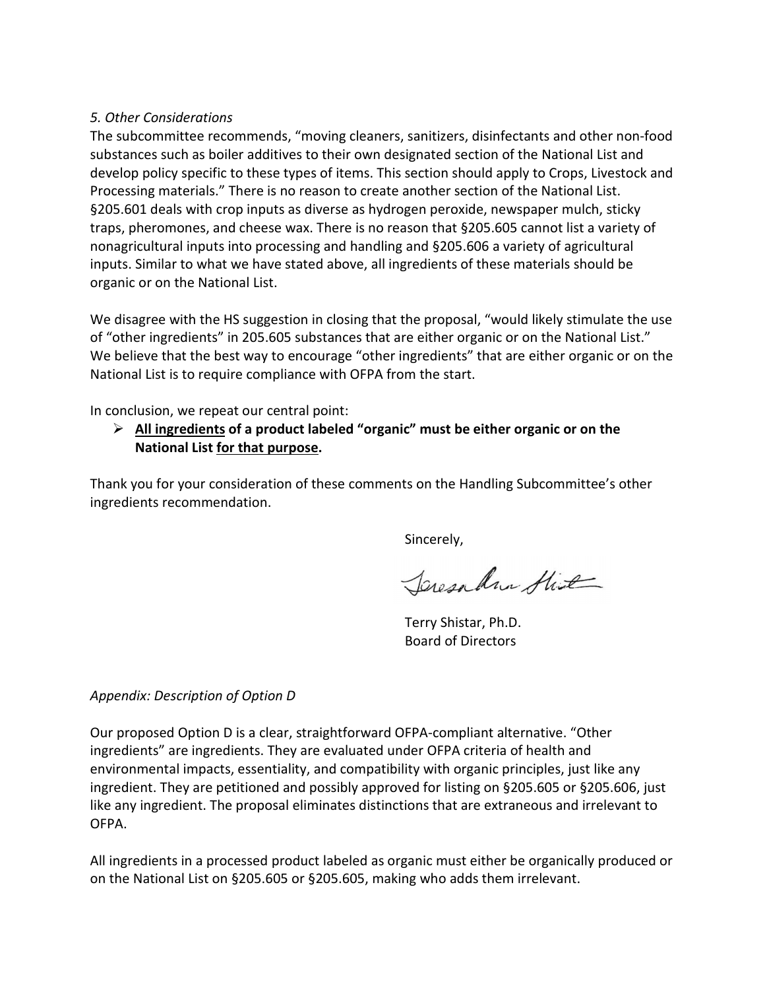#### *5. Other Considerations*

The subcommittee recommends, "moving cleaners, sanitizers, disinfectants and other non-food substances such as boiler additives to their own designated section of the National List and develop policy specific to these types of items. This section should apply to Crops, Livestock and Processing materials." There is no reason to create another section of the National List. §205.601 deals with crop inputs as diverse as hydrogen peroxide, newspaper mulch, sticky traps, pheromones, and cheese wax. There is no reason that §205.605 cannot list a variety of nonagricultural inputs into processing and handling and §205.606 a variety of agricultural inputs. Similar to what we have stated above, all ingredients of these materials should be organic or on the National List.

We disagree with the HS suggestion in closing that the proposal, "would likely stimulate the use of "other ingredients" in 205.605 substances that are either organic or on the National List." We believe that the best way to encourage "other ingredients" that are either organic or on the National List is to require compliance with OFPA from the start.

In conclusion, we repeat our central point:

## **All ingredients of a product labeled "organic" must be either organic or on the National List for that purpose.**

Thank you for your consideration of these comments on the Handling Subcommittee's other ingredients recommendation.

Sincerely,

Jeresahan Stit

Terry Shistar, Ph.D. Board of Directors

## *Appendix: Description of Option D*

Our proposed Option D is a clear, straightforward OFPA-compliant alternative. "Other ingredients" are ingredients. They are evaluated under OFPA criteria of health and environmental impacts, essentiality, and compatibility with organic principles, just like any ingredient. They are petitioned and possibly approved for listing on §205.605 or §205.606, just like any ingredient. The proposal eliminates distinctions that are extraneous and irrelevant to OFPA.

All ingredients in a processed product labeled as organic must either be organically produced or on the National List on §205.605 or §205.605, making who adds them irrelevant.